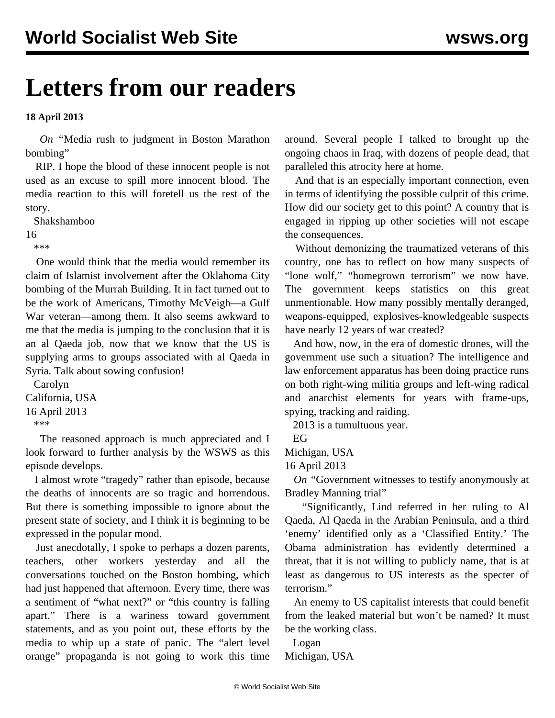## **Letters from our readers**

**18 April 2013**

 *On "*[Media rush to judgment in Boston Marathon](/en/articles/2013/04/16/bomb-a16.html) [bombing](/en/articles/2013/04/16/bomb-a16.html)"

 RIP. I hope the blood of these innocent people is not used as an excuse to spill more innocent blood. The media reaction to this will foretell us the rest of the story.

Shakshamboo

16

\*\*\*

 One would think that the media would remember its claim of Islamist involvement after the Oklahoma City bombing of the Murrah Building. It in fact turned out to be the work of Americans, Timothy McVeigh—a Gulf War veteran—among them. It also seems awkward to me that the media is jumping to the conclusion that it is an al Qaeda job, now that we know that the US is supplying arms to groups associated with al Qaeda in Syria. Talk about sowing confusion!

 Carolyn California, USA 16 April 2013 \*\*\*

 The reasoned approach is much appreciated and I look forward to further analysis by the WSWS as this episode develops.

 I almost wrote "tragedy" rather than episode, because the deaths of innocents are so tragic and horrendous. But there is something impossible to ignore about the present state of society, and I think it is beginning to be expressed in the popular mood.

 Just anecdotally, I spoke to perhaps a dozen parents, teachers, other workers yesterday and all the conversations touched on the Boston bombing, which had just happened that afternoon. Every time, there was a sentiment of "what next?" or "this country is falling apart." There is a wariness toward government statements, and as you point out, these efforts by the media to whip up a state of panic. The "alert level orange" propaganda is not going to work this time

around. Several people I talked to brought up the ongoing chaos in Iraq, with dozens of people dead, that paralleled this atrocity here at home.

 And that is an especially important connection, even in terms of identifying the possible culprit of this crime. How did our society get to this point? A country that is engaged in ripping up other societies will not escape the consequences.

 Without demonizing the traumatized veterans of this country, one has to reflect on how many suspects of "lone wolf," "homegrown terrorism" we now have. The government keeps statistics on this great unmentionable. How many possibly mentally deranged, weapons-equipped, explosives-knowledgeable suspects have nearly 12 years of war created?

 And how, now, in the era of domestic drones, will the government use such a situation? The intelligence and law enforcement apparatus has been doing practice runs on both right-wing militia groups and left-wing radical and anarchist elements for years with frame-ups, spying, tracking and raiding.

2013 is a tumultuous year.

EG

Michigan, USA

16 April 2013

 *On "*[Government witnesses to testify anonymously at](/en/articles/2013/04/12/mann-a12.html) [Bradley Manning trial](/en/articles/2013/04/12/mann-a12.html)"

 "Significantly, Lind referred in her ruling to Al Qaeda, Al Qaeda in the Arabian Peninsula, and a third 'enemy' identified only as a 'Classified Entity.' The Obama administration has evidently determined a threat, that it is not willing to publicly name, that is at least as dangerous to US interests as the specter of terrorism."

 An enemy to US capitalist interests that could benefit from the leaked material but won't be named? It must be the working class.

Logan

Michigan, USA